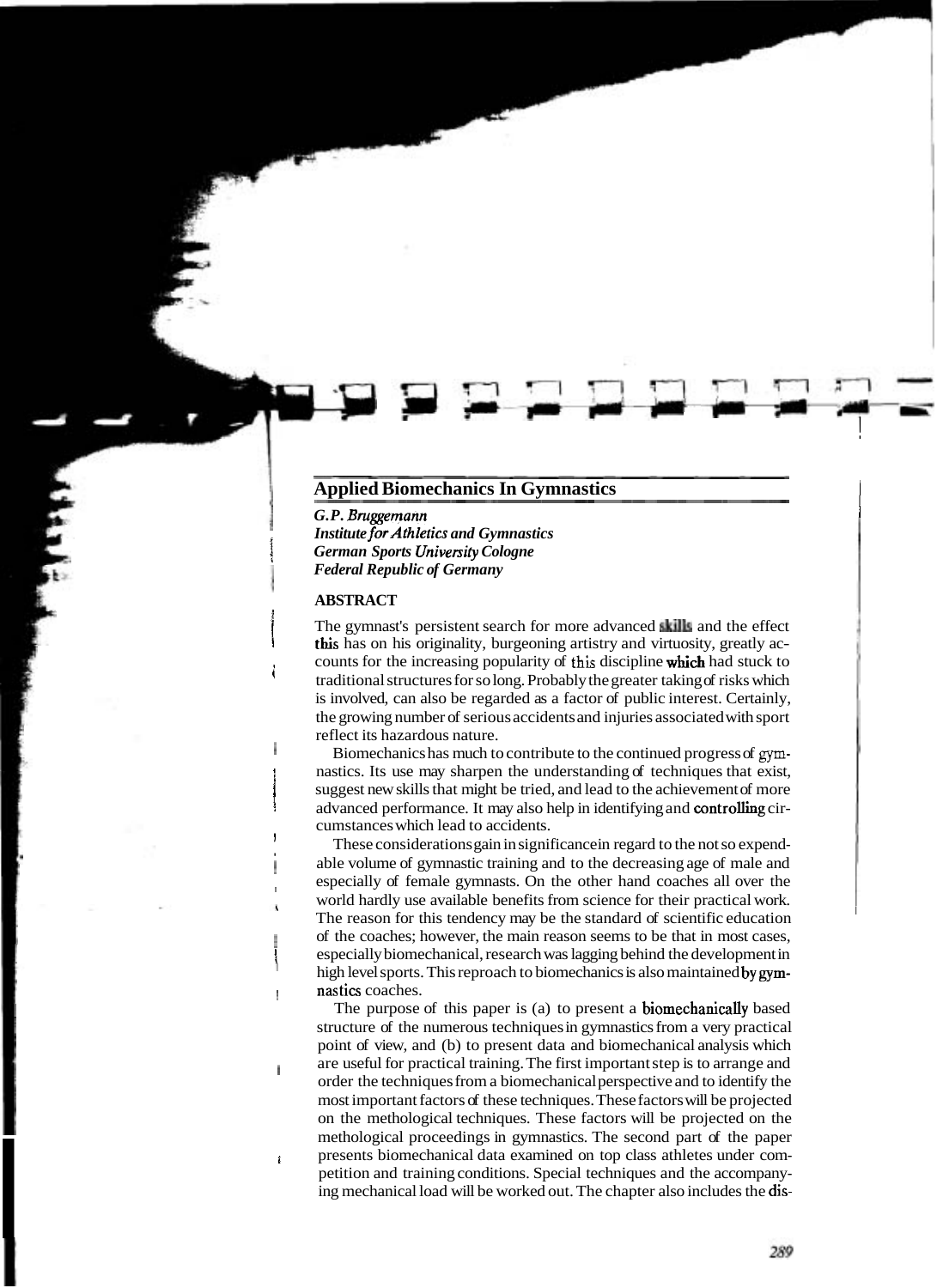## **Applied Biomechanics In Gymnastics**

*G.P. Btuggemann*  **Institute for Athletics and Gymnastics** / *German Sports Univenity Cologne Federal Republic of Germany* 

## **ABSTRACT**

/ The gymnast's persistent search for more advanced skills and the effect this has on his originality, burgeoning artistry and virtuosity, greatly ac counts for the increasing popularity of this discipline which had stuck to traditional structures for so long. Probably the greater taking of risks which is involved, can also be regarded as a factor of public interest. Certainly, the growing number of serious accidents and injuries associated with sport reflect its hazardous nature.

1 Biomechanics has much to contribute to the continued progress of **gym**nastics. Its use may sharpen the understanding of techniques that exist, suggest new skills that might be tried, and lead to the achievement of more advanced performance. It may also help in identifying and controlling circumstances which lead to accidents.<br>These considerations gain in significance in regard to the not so expend-

able volume of gymnastic training and to the decreasing age of male and<br>especially of female gymnasts. On the other hand coaches all over the<br>world hardly use available benefits from science for their practical work. The reason for this tendency may be the standard of scientific education of the coaches; however, the main reason seems to be that in most cases. especially biomechanical, research was lagging behind the development in high level sports. This reproach to biomechanics is also maintained bygymnastics coaches.

The purpose of this paper is (a) to present a biomechanically based structure of the numerous techniques in gymnastics from a very practical point of view, and (b) to present data and biomechanical analysis which are useful for practical training. The first important step is to arrange and order the techniques from a biomechanical perspective and to identify the most important factors of these techniques. These factors will be projected on the methological techniques. These factors will be projected on the methological proceedings in gymnastics. The second part of the paper<br>presents biomechanical data examined on top class athletes under com-<br>petition and training conditions. Special techniques and the accompany-<br>ing mechani presents biomechanical data examined on top class athletes under competition and training conditions. Special techniques and the accompanying mechanical load will be worked out. The chapter also includes the dis